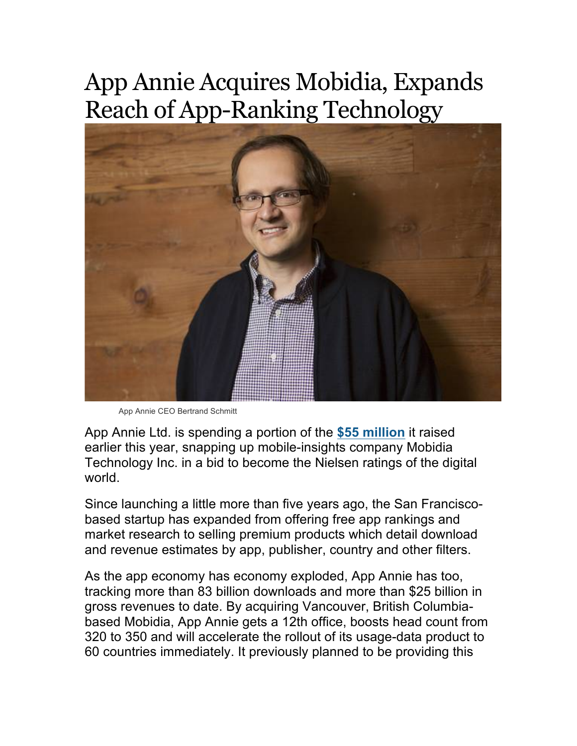## App Annie Acquires Mobidia, Expands Reach of App-Ranking Technology



App Annie CEO Bertrand Schmitt

App Annie Ltd. is spending a portion of the **\$55 million** it raised earlier this year, snapping up mobile-insights company Mobidia Technology Inc. in a bid to become the Nielsen ratings of the digital world.

Since launching a little more than five years ago, the San Franciscobased startup has expanded from offering free app rankings and market research to selling premium products which detail download and revenue estimates by app, publisher, country and other filters.

As the app economy has economy exploded, App Annie has too, tracking more than 83 billion downloads and more than \$25 billion in gross revenues to date. By acquiring Vancouver, British Columbiabased Mobidia, App Annie gets a 12th office, boosts head count from 320 to 350 and will accelerate the rollout of its usage-data product to 60 countries immediately. It previously planned to be providing this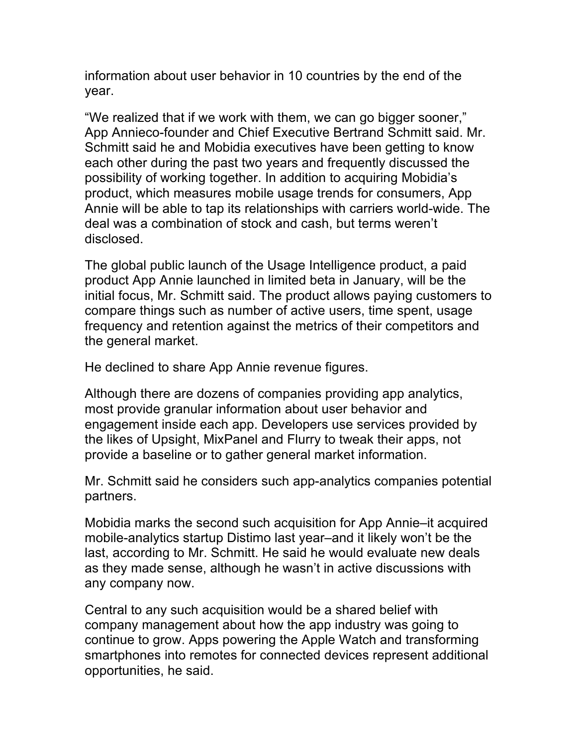information about user behavior in 10 countries by the end of the year.

"We realized that if we work with them, we can go bigger sooner," App Annieco-founder and Chief Executive Bertrand Schmitt said. Mr. Schmitt said he and Mobidia executives have been getting to know each other during the past two years and frequently discussed the possibility of working together. In addition to acquiring Mobidia's product, which measures mobile usage trends for consumers, App Annie will be able to tap its relationships with carriers world-wide. The deal was a combination of stock and cash, but terms weren't disclosed.

The global public launch of the Usage Intelligence product, a paid product App Annie launched in limited beta in January, will be the initial focus, Mr. Schmitt said. The product allows paying customers to compare things such as number of active users, time spent, usage frequency and retention against the metrics of their competitors and the general market.

He declined to share App Annie revenue figures.

Although there are dozens of companies providing app analytics, most provide granular information about user behavior and engagement inside each app. Developers use services provided by the likes of Upsight, MixPanel and Flurry to tweak their apps, not provide a baseline or to gather general market information.

Mr. Schmitt said he considers such app-analytics companies potential partners.

Mobidia marks the second such acquisition for App Annie–it acquired mobile-analytics startup Distimo last year–and it likely won't be the last, according to Mr. Schmitt. He said he would evaluate new deals as they made sense, although he wasn't in active discussions with any company now.

Central to any such acquisition would be a shared belief with company management about how the app industry was going to continue to grow. Apps powering the Apple Watch and transforming smartphones into remotes for connected devices represent additional opportunities, he said.